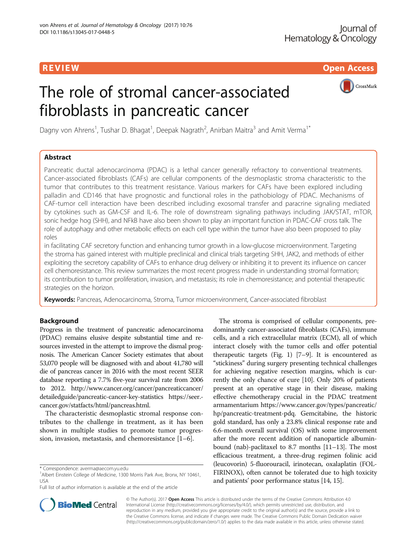R EVI EW Open Access

# The role of stromal cancer-associated fibroblasts in pancreatic cancer



Dagny von Ahrens<sup>1</sup>, Tushar D. Bhagat<sup>1</sup>, Deepak Nagrath<sup>2</sup>, Anirban Maitra<sup>3</sup> and Amit Verma<sup>1\*</sup>

# Abstract

Pancreatic ductal adenocarcinoma (PDAC) is a lethal cancer generally refractory to conventional treatments. Cancer-associated fibroblasts (CAFs) are cellular components of the desmoplastic stroma characteristic to the tumor that contributes to this treatment resistance. Various markers for CAFs have been explored including palladin and CD146 that have prognostic and functional roles in the pathobiology of PDAC. Mechanisms of CAF-tumor cell interaction have been described including exosomal transfer and paracrine signaling mediated by cytokines such as GM-CSF and IL-6. The role of downstream signaling pathways including JAK/STAT, mTOR, sonic hedge hog (SHH), and NFkB have also been shown to play an important function in PDAC-CAF cross talk. The role of autophagy and other metabolic effects on each cell type within the tumor have also been proposed to play roles

in facilitating CAF secretory function and enhancing tumor growth in a low-glucose microenvironment. Targeting the stroma has gained interest with multiple preclinical and clinical trials targeting SHH, JAK2, and methods of either exploiting the secretory capability of CAFs to enhance drug delivery or inhibiting it to prevent its influence on cancer cell chemoresistance. This review summarizes the most recent progress made in understanding stromal formation; its contribution to tumor proliferation, invasion, and metastasis; its role in chemoresistance; and potential therapeutic strategies on the horizon.

Keywords: Pancreas, Adenocarcinoma, Stroma, Tumor microenvironment, Cancer-associated fibroblast

# Background

Progress in the treatment of pancreatic adenocarcinoma (PDAC) remains elusive despite substantial time and resources invested in the attempt to improve the dismal prognosis. The American Cancer Society estimates that about 53,070 people will be diagnosed with and about 41,780 will die of pancreas cancer in 2016 with the most recent SEER database reporting a 7.7% five-year survival rate from 2006 to 2012. [http://www.cancer.org/cancer/pancreaticcancer/](http://www.cancer.org/cancer/pancreaticcancer/detailedguide/pancreatic-cancer-key-statistics) [detailedguide/pancreatic-cancer-key-statistics](http://www.cancer.org/cancer/pancreaticcancer/detailedguide/pancreatic-cancer-key-statistics) [https://seer.](https://seer.cancer.gov/statfacts/html/pancreas.html) [cancer.gov/statfacts/html/pancreas.html.](https://seer.cancer.gov/statfacts/html/pancreas.html)

The characteristic desmoplastic stromal response contributes to the challenge in treatment, as it has been shown in multiple studies to promote tumor progression, invasion, metastasis, and chemoresistance [\[1](#page-6-0)–[6\]](#page-6-0).

Full list of author information is available at the end of the article

The stroma is comprised of cellular components, predominantly cancer-associated fibroblasts (CAFs), immune cells, and a rich extracellular matrix (ECM), all of which interact closely with the tumor cells and offer potential therapeutic targets (Fig. [1\)](#page-1-0) [\[7](#page-6-0)–[9\]](#page-6-0). It is encountered as "stickiness" during surgery presenting technical challenges for achieving negative resection margins, which is currently the only chance of cure [\[10](#page-6-0)]. Only 20% of patients present at an operative stage in their disease, making effective chemotherapy crucial in the PDAC treatment armamentarium [https://www.cancer.gov/types/pancreatic/](https://www.cancer.gov/types/pancreatic/hp/pancreatic-treatment-pdq) [hp/pancreatic-treatment-pdq.](https://www.cancer.gov/types/pancreatic/hp/pancreatic-treatment-pdq) Gemcitabine, the historic gold standard, has only a 23.8% clinical response rate and 6.6-month overall survival (OS) with some improvement after the more recent addition of nanoparticle albuminbound (nab)-paclitaxel to 8.7 months [[11](#page-6-0)–[13\]](#page-6-0). The most efficacious treatment, a three-drug regimen folinic acid (leucovorin) 5-fluorouracil, irinotecan, oxalaplatin (FOL-FIRINOX), often cannot be tolerated due to high toxicity and patients' poor performance status [[14](#page-6-0), [15\]](#page-6-0).



© The Author(s). 2017 **Open Access** This article is distributed under the terms of the Creative Commons Attribution 4.0 International License [\(http://creativecommons.org/licenses/by/4.0/](http://creativecommons.org/licenses/by/4.0/)), which permits unrestricted use, distribution, and reproduction in any medium, provided you give appropriate credit to the original author(s) and the source, provide a link to the Creative Commons license, and indicate if changes were made. The Creative Commons Public Domain Dedication waiver [\(http://creativecommons.org/publicdomain/zero/1.0/](http://creativecommons.org/publicdomain/zero/1.0/)) applies to the data made available in this article, unless otherwise stated.

<sup>\*</sup> Correspondence: [averma@aecom.yu.edu](mailto:averma@aecom.yu.edu) <sup>1</sup>

<sup>&</sup>lt;sup>1</sup> Albert Einstein College of Medicine, 1300 Morris Park Ave, Bronx, NY 10461, USA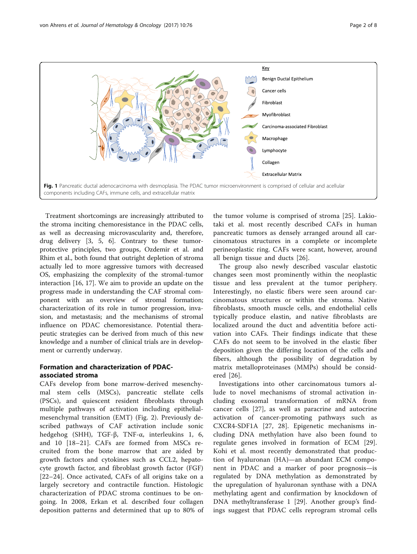<span id="page-1-0"></span>

Treatment shortcomings are increasingly attributed to the stroma inciting chemoresistance in the PDAC cells, as well as decreasing microvascularity and, therefore, drug delivery [[3, 5](#page-6-0), [6](#page-6-0)]. Contrary to these tumorprotective principles, two groups, Ozdemir et al. and Rhim et al., both found that outright depletion of stroma actually led to more aggressive tumors with decreased OS, emphasizing the complexity of the stromal-tumor interaction [\[16, 17\]](#page-6-0). We aim to provide an update on the progress made in understanding the CAF stromal component with an overview of stromal formation; characterization of its role in tumor progression, invasion, and metastasis; and the mechanisms of stromal influence on PDAC chemoresistance. Potential therapeutic strategies can be derived from much of this new knowledge and a number of clinical trials are in development or currently underway.

# Formation and characterization of PDACassociated stroma

CAFs develop from bone marrow-derived mesenchymal stem cells (MSCs), pancreatic stellate cells (PSCs), and quiescent resident fibroblasts through multiple pathways of activation including epithelialmesenchymal transition (EMT) (Fig. [2\)](#page-2-0). Previously described pathways of CAF activation include sonic hedgehog (SHH), TGF-β, TNF-α, interleukins 1, 6, and 10 [[18](#page-6-0)–[21](#page-6-0)]. CAFs are formed from MSCs recruited from the bone marrow that are aided by growth factors and cytokines such as CCL2, hepatocyte growth factor, and fibroblast growth factor (FGF) [[22](#page-6-0)–[24\]](#page-7-0). Once activated, CAFs of all origins take on a largely secretory and contractile function. Histologic characterization of PDAC stroma continues to be ongoing. In 2008, Erkan et al. described four collagen deposition patterns and determined that up to 80% of

the tumor volume is comprised of stroma [\[25](#page-7-0)]. Lakiotaki et al. most recently described CAFs in human pancreatic tumors as densely arranged around all carcinomatous structures in a complete or incomplete perineoplastic ring. CAFs were scant, however, around all benign tissue and ducts [[26\]](#page-7-0).

The group also newly described vascular elastotic changes seen most prominently within the neoplastic tissue and less prevalent at the tumor periphery. Interestingly, no elastic fibers were seen around carcinomatous structures or within the stroma. Native fibroblasts, smooth muscle cells, and endothelial cells typically produce elastin, and native fibroblasts are localized around the duct and adventitia before activation into CAFs. Their findings indicate that these CAFs do not seem to be involved in the elastic fiber deposition given the differing location of the cells and fibers, although the possibility of degradation by matrix metalloproteinases (MMPs) should be considered [[26\]](#page-7-0).

Investigations into other carcinomatous tumors allude to novel mechanisms of stromal activation including exosomal transformation of mRNA from cancer cells [[27](#page-7-0)], as well as paracrine and autocrine activation of cancer-promoting pathways such as CXCR4-SDF1A [[27, 28](#page-7-0)]. Epigenetic mechanisms including DNA methylation have also been found to regulate genes involved in formation of ECM [\[29](#page-7-0)]. Kohi et al. most recently demonstrated that production of hyaluronan (HA)—an abundant ECM component in PDAC and a marker of poor prognosis—is regulated by DNA methylation as demonstrated by the upregulation of hyaluronan synthase with a DNA methylating agent and confirmation by knockdown of DNA methyltransferase 1 [[29\]](#page-7-0). Another group's findings suggest that PDAC cells reprogram stromal cells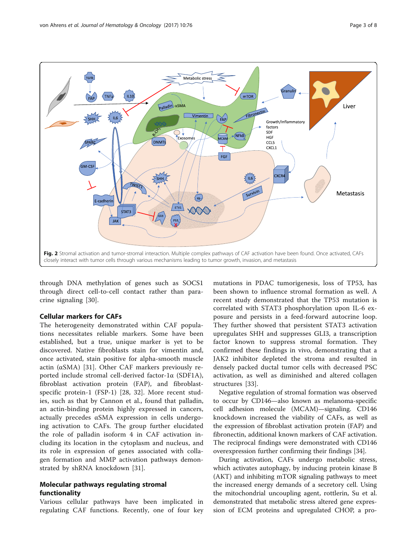<span id="page-2-0"></span>

through DNA methylation of genes such as SOCS1 through direct cell-to-cell contact rather than paracrine signaling [[30\]](#page-7-0).

## Cellular markers for CAFs

The heterogeneity demonstrated within CAF populations necessitates reliable markers. Some have been established, but a true, unique marker is yet to be discovered. Native fibroblasts stain for vimentin and, once activated, stain positive for alpha-smooth muscle actin ( $\alpha$ SMA) [\[31](#page-7-0)]. Other CAF markers previously reported include stromal cell-derived factor-1α (SDF1A), fibroblast activation protein (FAP), and fibroblastspecific protein-1 (FSP-1) [\[28](#page-7-0), [32](#page-7-0)]. More recent studies, such as that by Cannon et al., found that palladin, an actin-binding protein highly expressed in cancers, actually precedes αSMA expression in cells undergoing activation to CAFs. The group further elucidated the role of palladin isoform 4 in CAF activation including its location in the cytoplasm and nucleus, and its role in expression of genes associated with collagen formation and MMP activation pathways demonstrated by shRNA knockdown [[31\]](#page-7-0).

## Molecular pathways regulating stromal functionality

Various cellular pathways have been implicated in regulating CAF functions. Recently, one of four key

mutations in PDAC tumorigenesis, loss of TP53, has been shown to influence stromal formation as well. A recent study demonstrated that the TP53 mutation is correlated with STAT3 phosphorylation upon IL-6 exposure and persists in a feed-forward autocrine loop. They further showed that persistent STAT3 activation upregulates SHH and suppresses GLI3, a transcription factor known to suppress stromal formation. They confirmed these findings in vivo, demonstrating that a JAK2 inhibitor depleted the stroma and resulted in densely packed ductal tumor cells with decreased PSC activation, as well as diminished and altered collagen structures [\[33\]](#page-7-0).

Negative regulation of stromal formation was observed to occur by CD146—also known as melanoma-specific cell adhesion molecule (MCAM)—signaling. CD146 knockdown increased the viability of CAFs, as well as the expression of fibroblast activation protein (FAP) and fibronectin, additional known markers of CAF activation. The reciprocal findings were demonstrated with CD146 overexpression further confirming their findings [\[34](#page-7-0)].

During activation, CAFs undergo metabolic stress, which activates autophagy, by inducing protein kinase B (AKT) and inhibiting mTOR signaling pathways to meet the increased energy demands of a secretory cell. Using the mitochondrial uncoupling agent, rottlerin, Su et al. demonstrated that metabolic stress altered gene expression of ECM proteins and upregulated CHOP, a pro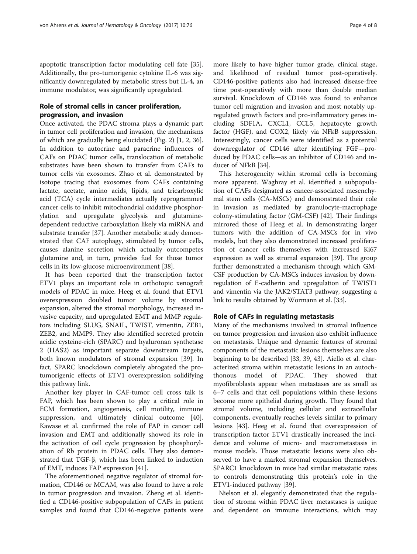apoptotic transcription factor modulating cell fate [\[35](#page-7-0)]. Additionally, the pro-tumorigenic cytokine IL-6 was significantly downregulated by metabolic stress but IL-4, an immune modulator, was significantly upregulated.

# Role of stromal cells in cancer proliferation, progression, and invasion

Once activated, the PDAC stroma plays a dynamic part in tumor cell proliferation and invasion, the mechanisms of which are gradually being elucidated (Fig. [2](#page-2-0)) [\[1](#page-6-0), [2](#page-6-0), [36](#page-7-0)]. In addition to autocrine and paracrine influences of CAFs on PDAC tumor cells, translocation of metabolic substrates have been shown to transfer from CAFs to tumor cells via exosomes. Zhao et al. demonstrated by isotope tracing that exosomes from CAFs containing lactate, acetate, amino acids, lipids, and tricarboxylic acid (TCA) cycle intermediates actually reprogrammed cancer cells to inhibit mitochondrial oxidative phosphorylation and upregulate glycolysis and glutaminedependent reductive carboxylation likely via miRNA and substrate transfer [[37](#page-7-0)]. Another metabolic study demonstrated that CAF autophagy, stimulated by tumor cells, causes alanine secretion which actually outcompetes glutamine and, in turn, provides fuel for those tumor cells in its low-glucose microenvironment [\[38](#page-7-0)].

It has been reported that the transcription factor ETV1 plays an important role in orthotopic xenograft models of PDAC in mice. Heeg et al. found that ETV1 overexpression doubled tumor volume by stromal expansion, altered the stromal morphology, increased invasive capacity, and upregulated EMT and MMP regulators including SLUG, SNAIL, TWIST, vimentin, ZEB1, ZEB2, and MMP9. They also identified secreted protein acidic cysteine-rich (SPARC) and hyaluronan synthetase 2 (HAS2) as important separate downstream targets, both known modulators of stromal expansion [[39\]](#page-7-0). In fact, SPARC knockdown completely abrogated the protumorigenic effects of ETV1 overexpression solidifying this pathway link.

Another key player in CAF-tumor cell cross talk is FAP, which has been shown to play a critical role in ECM formation, angiogenesis, cell motility, immune suppression, and ultimately clinical outcome [\[40](#page-7-0)]. Kawase et al. confirmed the role of FAP in cancer cell invasion and EMT and additionally showed its role in the activation of cell cycle progression by phosphorylation of Rb protein in PDAC cells. They also demonstrated that TGF-β, which has been linked to induction of EMT, induces FAP expression [[41](#page-7-0)].

The aforementioned negative regulator of stromal formation, CD146 or MCAM, was also found to have a role in tumor progression and invasion. Zheng et al. identified a CD146-positive subpopulation of CAFs in patient samples and found that CD146-negative patients were

more likely to have higher tumor grade, clinical stage, and likelihood of residual tumor post-operatively. CD146-positive patients also had increased disease-free time post-operatively with more than double median survival. Knockdown of CD146 was found to enhance tumor cell migration and invasion and most notably upregulated growth factors and pro-inflammatory genes including SDF1A, CXCL1, CCL5, hepatocyte growth factor (HGF), and COX2, likely via NFkB suppression. Interestingly, cancer cells were identified as a potential downregulator of CD146 after identifying FGF—produced by PDAC cells—as an inhibitor of CD146 and inducer of NFkB [[34\]](#page-7-0).

This heterogeneity within stromal cells is becoming more apparent. Waghray et al. identified a subpopulation of CAFs designated as cancer-associated mesenchymal stem cells (CA-MSCs) and demonstrated their role in invasion as mediated by granulocyte-macrophage colony-stimulating factor (GM-CSF) [[42](#page-7-0)]. Their findings mirrored those of Heeg et al. in demonstrating larger tumors with the addition of CA-MSCs for in vivo models, but they also demonstrated increased proliferation of cancer cells themselves with increased Ki67 expression as well as stromal expansion [\[39](#page-7-0)]. The group further demonstrated a mechanism through which GM-CSF production by CA-MSCs induces invasion by downregulation of E-cadherin and upregulation of TWIST1 and vimentin via the JAK2/STAT3 pathway, suggesting a link to results obtained by Wormann et al. [\[33\]](#page-7-0).

## Role of CAFs in regulating metastasis

Many of the mechanisms involved in stromal influence on tumor progression and invasion also exhibit influence on metastasis. Unique and dynamic features of stromal components of the metastatic lesions themselves are also beginning to be described [[33, 39, 43](#page-7-0)]. Aiello et al. characterized stroma within metastatic lesions in an autochthonous model of PDAC. They showed that myofibroblasts appear when metastases are as small as 6–7 cells and that cell populations within these lesions become more epithelial during growth. They found that stromal volume, including cellular and extracellular components, eventually reaches levels similar to primary lesions [[43](#page-7-0)]. Heeg et al. found that overexpression of transcription factor ETV1 drastically increased the incidence and volume of micro- and macrometastasis in mouse models. Those metastatic lesions were also observed to have a marked stromal expansion themselves. SPARC1 knockdown in mice had similar metastatic rates to controls demonstrating this protein's role in the ETV1-induced pathway [[39](#page-7-0)].

Nielson et al. elegantly demonstrated that the regulation of stroma within PDAC liver metastases is unique and dependent on immune interactions, which may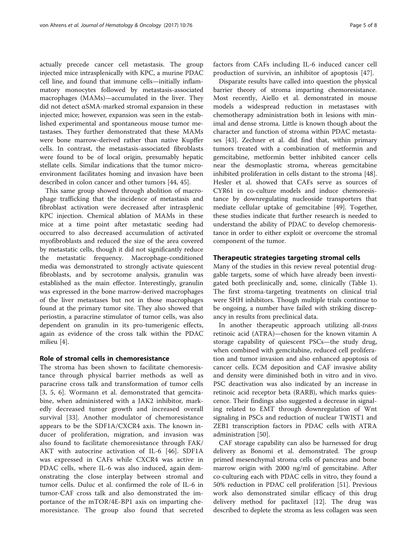actually precede cancer cell metastasis. The group injected mice intrasplenically with KPC, a murine PDAC cell line, and found that immune cells—initially inflammatory monocytes followed by metastasis-associated macrophages (MAMs)—accumulated in the liver. They did not detect αSMA-marked stromal expansion in these injected mice; however, expansion was seen in the established experimental and spontaneous mouse tumor metastases. They further demonstrated that these MAMs were bone marrow-derived rather than native Kupffer cells. In contrast, the metastasis-associated fibroblasts were found to be of local origin, presumably hepatic stellate cells. Similar indications that the tumor microenvironment facilitates homing and invasion have been described in colon cancer and other tumors [\[44](#page-7-0), [45](#page-7-0)].

This same group showed through abolition of macrophage trafficking that the incidence of metastasis and fibroblast activation were decreased after intrasplenic KPC injection. Chemical ablation of MAMs in these mice at a time point after metastatic seeding had occurred to also decreased accumulation of activated myofibroblasts and reduced the size of the area covered by metastatic cells, though it did not significantly reduce the metastatic frequency. Macrophage-conditioned media was demonstrated to strongly activate quiescent fibroblasts, and by secrotome analysis, granulin was established as the main effector. Interestingly, granulin was expressed in the bone marrow-derived macrophages of the liver metastases but not in those macrophages found at the primary tumor site. They also showed that periostin, a paracrine stimulator of tumor cells, was also dependent on granulin in its pro-tumerigenic effects, again as evidence of the cross talk within the PDAC milieu [\[4](#page-6-0)].

## Role of stromal cells in chemoresistance

The stroma has been shown to facilitate chemoresistance through physical barrier methods as well as paracrine cross talk and transformation of tumor cells [[3, 5, 6](#page-6-0)]. Wormann et al. demonstrated that gemcitabine, when administered with a JAK2 inhibitor, markedly decreased tumor growth and increased overall survival [[33\]](#page-7-0). Another modulator of chemoresistance appears to be the SDF1A/CXCR4 axis. The known inducer of proliferation, migration, and invasion was also found to facilitate chemoresistance through FAK/ AKT with autocrine activation of IL-6 [[46\]](#page-7-0). SDF1A was expressed in CAFs while CXCR4 was active in PDAC cells, where IL-6 was also induced, again demonstrating the close interplay between stromal and tumor cells. Duluc et al. confirmed the role of IL-6 in tumor-CAF cross talk and also demonstrated the importance of the mTOR/4E-BP1 axis on imparting chemoresistance. The group also found that secreted factors from CAFs including IL-6 induced cancer cell production of survivin, an inhibitor of apoptosis [[47\]](#page-7-0).

Disparate results have called into question the physical barrier theory of stroma imparting chemoresistance. Most recently, Aiello et al. demonstrated in mouse models a widespread reduction in metastases with chemotherapy administration both in lesions with minimal and dense stroma. Little is known though about the character and function of stroma within PDAC metastases [\[43\]](#page-7-0). Zechner et al. did find that, within primary tumors treated with a combination of metformin and gemcitabine, metformin better inhibited cancer cells near the desmoplastic stroma, whereas gemcitabine inhibited proliferation in cells distant to the stroma [\[48](#page-7-0)]. Hesler et al. showed that CAFs serve as sources of CYR61 in co-culture models and induce chemoresistance by downregulating nucleoside transporters that mediate cellular uptake of gemcitabine [[49\]](#page-7-0). Together, these studies indicate that further research is needed to understand the ability of PDAC to develop chemoresistance in order to either exploit or overcome the stromal component of the tumor.

## Therapeutic strategies targeting stromal cells

Many of the studies in this review reveal potential druggable targets, some of which have already been investigated both preclinically and, some, clinically (Table [1](#page-5-0)). The first stroma-targeting treatments on clinical trial were SHH inhibitors. Though multiple trials continue to be ongoing, a number have failed with striking discrepancy in results from preclinical data.

In another therapeutic approach utilizing all-trans retinoic acid (ATRA)—chosen for the known vitamin A storage capability of quiescent PSCs—the study drug, when combined with gemcitabine, reduced cell proliferation and tumor invasion and also enhanced apoptosis of cancer cells. ECM deposition and CAF invasive ability and density were diminished both in vitro and in vivo. PSC deactivation was also indicated by an increase in retinoic acid receptor beta (RARB), which marks quiescence. Their findings also suggested a decrease in signaling related to EMT through downregulation of Wnt signaling in PSCs and reduction of nuclear TWIST1 and ZEB1 transcription factors in PDAC cells with ATRA administration [\[50](#page-7-0)].

CAF storage capability can also be harnessed for drug delivery as Bonomi et al. demonstrated. The group primed mesenchymal stroma cells of pancreas and bone marrow origin with 2000 ng/ml of gemcitabine. After co-culturing each with PDAC cells in vitro, they found a 50% reduction in PDAC cell proliferation [[51\]](#page-7-0). Previous work also demonstrated similar efficacy of this drug delivery method for paclitaxel [[12\]](#page-6-0). The drug was described to deplete the stroma as less collagen was seen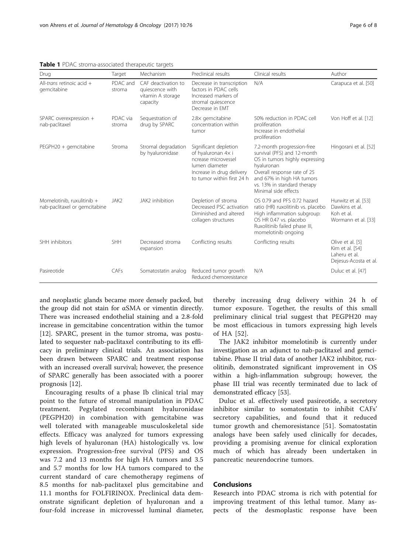| Drug                                                        | Target             | Mechanism                                                               | Preclinical results                                                                                                                             | Clinical results                                                                                                                                                                                                             | Author                                                                        |
|-------------------------------------------------------------|--------------------|-------------------------------------------------------------------------|-------------------------------------------------------------------------------------------------------------------------------------------------|------------------------------------------------------------------------------------------------------------------------------------------------------------------------------------------------------------------------------|-------------------------------------------------------------------------------|
| All- <i>trans</i> retinoic acid $+$<br>gemcitabine          | PDAC and<br>stroma | CAF deactivation to<br>quiescence with<br>vitamin A storage<br>capacity | Decrease in transcription<br>factors in PDAC cells<br>Increased markers of<br>stromal quiescence<br>Decrease in EMT                             | N/A                                                                                                                                                                                                                          | Carapuca et al. [50]                                                          |
| SPARC overexpression +<br>nab-paclitaxel                    | PDAC via<br>stroma | Sequestration of<br>drug by SPARC                                       | 2.8× gemcitabine<br>concentration within<br>tumor                                                                                               | 50% reduction in PDAC cell<br>proliferation<br>Increase in endothelial<br>proliferation                                                                                                                                      | Von Hoff et al. [12]                                                          |
| PEGPH20 + gemcitabine                                       | Stroma             | Stromal degradation<br>by hyaluronidase                                 | Significant depletion<br>of hyaluronan 4x i<br>ncrease microvessel<br>lumen diameter<br>Increase in drug delivery<br>to tumor within first 24 h | 7.2-month progression-free<br>survival (PFS) and 12-month<br>OS in tumors highly expressing<br>hyaluronan<br>Overall response rate of 25<br>and 67% in high HA tumors<br>vs. 13% in standard therapy<br>Minimal side effects | Hingorani et al. [52]                                                         |
| Momelotinib, ruxulitinib +<br>nab-paclitaxel or gemcitabine | JAK2               | JAK2 inhibition                                                         | Depletion of stroma<br>Decreased PSC activation<br>Diminished and altered<br>collagen structures                                                | OS 0.79 and PFS 0.72 hazard<br>ratio (HR) ruxolitinib vs. placebo<br>High inflammation subgroup:<br>OS HR 0.47 vs. placebo<br>Ruxolitinib failed phase III,<br>momelotinib ongoing                                           | Hurwitz et al. [53]<br>Dawkins et al.<br>Koh et al.<br>Wormann et al. [33]    |
| SHH inhibitors                                              | SHH                | Decreased stroma<br>expansion                                           | Conflicting results                                                                                                                             | Conflicting results                                                                                                                                                                                                          | Olive et al. [5]<br>Kim et al. [54]<br>Laheru et al.<br>Dejesus-Acosta et al. |
| Pasireotide                                                 | CAFs               | Somatostatin analog                                                     | Reduced tumor growth<br>Reduced chemoresistance                                                                                                 | N/A                                                                                                                                                                                                                          | Duluc et al. [47]                                                             |

<span id="page-5-0"></span>Table 1 PDAC stroma-associated therapeutic targets

and neoplastic glands became more densely packed, but the group did not stain for αSMA or vimentin directly. There was increased endothelial staining and a 2.8-fold increase in gemcitabine concentration within the tumor [[12\]](#page-6-0). SPARC, present in the tumor stroma, was postulated to sequester nab-paclitaxel contributing to its efficacy in preliminary clinical trials. An association has been drawn between SPARC and treatment response with an increased overall survival; however, the presence of SPARC generally has been associated with a poorer prognosis [\[12\]](#page-6-0).

Encouraging results of a phase Ib clinical trial may point to the future of stromal manipulation in PDAC treatment. Pegylated recombinant hyaluronidase (PEGPH20) in combination with gemcitabine was well tolerated with manageable musculoskeletal side effects. Efficacy was analyzed for tumors expressing high levels of hyaluronan (HA) histologically vs. low expression. Progression-free survival (PFS) and OS was 7.2 and 13 months for high HA tumors and 3.5 and 5.7 months for low HA tumors compared to the current standard of care chemotherapy regimens of 8.5 months for nab-paclitaxel plus gemcitabine and 11.1 months for FOLFIRINOX. Preclinical data demonstrate significant depletion of hyaluronan and a four-fold increase in microvessel luminal diameter, thereby increasing drug delivery within 24 h of tumor exposure. Together, the results of this small preliminary clinical trial suggest that PEGPH20 may be most efficacious in tumors expressing high levels of HA [[52](#page-7-0)].

The JAK2 inhibitor momelotinib is currently under investigation as an adjunct to nab-paclitaxel and gemcitabine. Phase II trial data of another JAK2 inhibitor, ruxolitinib, demonstrated significant improvement in OS within a high-inflammation subgroup; however, the phase III trial was recently terminated due to lack of demonstrated efficacy [\[53\]](#page-7-0).

Duluc et al. effectively used pasireotide, a secretory inhibitor similar to somatostatin to inhibit CAFs' secretory capabilities, and found that it reduced tumor growth and chemoresistance [\[51](#page-7-0)]. Somatostatin analogs have been safely used clinically for decades, providing a promising avenue for clinical exploration much of which has already been undertaken in pancreatic neurendocrine tumors.

## Conclusions

Research into PDAC stroma is rich with potential for improving treatment of this lethal tumor. Many aspects of the desmoplastic response have been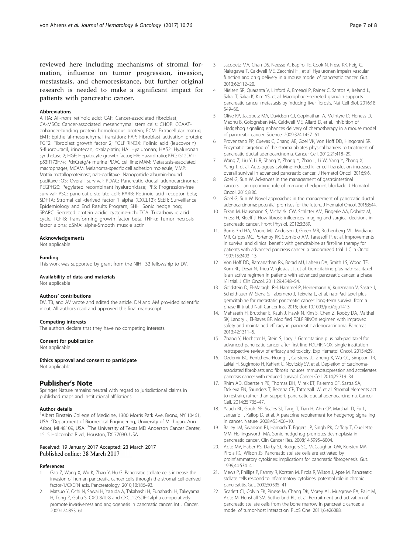<span id="page-6-0"></span>reviewed here including mechanisms of stromal formation, influence on tumor progression, invasion, mestastasis, and chemoresistance, but further original research is needed to make a significant impact for patients with pancreatic cancer.

## Abbreviations

ATRA: All-trans retinoic acid; CAF: Cancer-associated fibroblast; CA-MSCs: Cancer-associated mesenchymal stem cells; CHOP: CCAATenhancer-binding protein homologous protein; ECM: Extracellular matrix; EMT: Epithelial-mesenchymal transition; FAP: Fibroblast activation protein; FGF2: Fibroblast growth factor 2; FOLFIRINOX: Folinic acid (leucovorin) 5-fluorouracil, irinotecan, oxalaplatin; HA: Hyaluronan; HAS2: Hyaluronan synthetase 2; HGF: Hepatocyte growth factor; HR: Hazard ratio; KPC: G12D/+; p53R172H/+; PdxCretg/+ murine PDAC cell line; MAM: Metastasis-associated macrophages; MCAM: Melanoma-specific cell adhesion molecule; MMP: Matrix metalloproteinase; nab-paclitaxel: Nanoparticle albumin-bound paclitaxel; OS: Overall survival; PDAC: Pancreatic ductal adenocarcinoma; PEGPH20: Pegylated recombinant hyaluronidase; PFS: Progression-free survival; PSC: pancreatic stellate cell; RARB: Retinoic acid receptor beta; SDF1A: Stromal cell-derived factor 1 alpha (CXCL12); SEER: Surveillance Epidemiology and End Results Program; SHH: Sonic hedge hog; SPARC: Secreted protein acidic cysteine-rich; TCA: Tricarboxylic acid cycle; TGF-B: Transforming growth factor beta; TNF-α: Tumor necrosis factor alpha; αSMA: alpha-Smooth muscle actin

## Acknowledgements

Not applicable

## Funding

This work was supported by grant from the NIH T32 fellowship to DV.

#### Availability of data and materials

Not applicable

## Authors' contributions

DV, TB, and AV wrote and edited the article. DN and AM provided scientific input. All authors read and approved the final manuscript.

#### Competing interests

The authors declare that they have no competing interests.

#### Consent for publication

Not applicable

Ethics approval and consent to participate

Not applicable

#### Publisher's Note

Springer Nature remains neutral with regard to jurisdictional claims in published maps and institutional affiliations.

#### Author details

<sup>1</sup> Albert Einstein College of Medicine, 1300 Morris Park Ave, Bronx, NY 10461, USA. <sup>2</sup>Department of Biomedical Engineering, University of Michigan, Ann Arbor, MI 48109, USA. <sup>3</sup>The University of Texas MD Anderson Cancer Center, 1515 Holcombe Blvd., Houston, TX 77030, USA.

## Received: 19 January 2017 Accepted: 23 March 2017 Published online: 28 March 2017

#### References

- 1. Gao Z, Wang X, Wu K, Zhao Y, Hu G. Pancreatic stellate cells increase the invasion of human pancreatic cancer cells through the stromal cell-derived factor-1/CXCR4 axis. Pancreatology. 2010;10:186–93.
- 2. Matsuo Y, Ochi N, Sawai H, Yasuda A, Takahashi H, Funahashi H, Takeyama H, Tong Z, Guha S. CXCL8/IL-8 and CXCL12/SDF-1alpha co-operatively promote invasiveness and angiogenesis in pancreatic cancer. Int J Cancer. 2009;124:853–61.
- 3. Jacobetz MA, Chan DS, Neesse A, Bapiro TE, Cook N, Frese KK, Feig C, Nakagawa T, Caldwell ME, Zecchini HI, et al. Hyaluronan impairs vascular function and drug delivery in a mouse model of pancreatic cancer. Gut. 2013;62:112–20.
- 4. Nielsen SR, Quaranta V, Linford A, Emeagi P, Rainer C, Santos A, Ireland L, Sakai T, Sakai K, Kim YS, et al. Macrophage-secreted granulin supports pancreatic cancer metastasis by inducing liver fibrosis. Nat Cell Biol. 2016;18: 549–60.
- 5. Olive KP, Jacobetz MA, Davidson CJ, Gopinathan A, McIntyre D, Honess D, Madhu B, Goldgraben MA, Caldwell ME, Allard D, et al. Inhibition of Hedgehog signaling enhances delivery of chemotherapy in a mouse model of pancreatic cancer. Science. 2009;324:1457–61.
- 6. Provenzano PP, Cuevas C, Chang AE, Goel VK, Von Hoff DD, Hingorani SR. Enzymatic targeting of the stroma ablates physical barriers to treatment of pancreatic ductal adenocarcinoma. Cancer Cell. 2012;21:418–29.
- 7. Wang Z, Liu Y, Li R, Shang Y, Zhang Y, Zhao L, Li W, Yang Y, Zhang X, Yang T, et al. Autologous cytokine-induced killer cell transfusion increases overall survival in advanced pancreatic cancer. J Hematol Oncol. 2016;9:6.
- 8. Goel G, Sun W. Advances in the management of gastrointestinal cancers—an upcoming role of immune checkpoint blockade. J Hematol Oncol. 2015;8:86.
- 9. Goel G, Sun W. Novel approaches in the management of pancreatic ductal adenocarcinoma: potential promises for the future. J Hematol Oncol. 2015;8:44.
- 10. Erkan M, Hausmann S, Michalski CW, Schlitter AM, Fingerle AA, Dobritz M, Friess H, Kleeff J. How fibrosis influences imaging and surgical decisions in pancreatic cancer. Front Physiol. 2012;3:389.
- 11. Burris 3rd HA, Moore MJ, Andersen J, Green MR, Rothenberg ML, Modiano MR, Cripps MC, Portenoy RK, Storniolo AM, Tarassoff P, et al. Improvements in survival and clinical benefit with gemcitabine as first-line therapy for patients with advanced pancreas cancer: a randomized trial. J Clin Oncol. 1997;15:2403–13.
- 12. Von Hoff DD, Ramanathan RK, Borad MJ, Laheru DA, Smith LS, Wood TE, Korn RL, Desai N, Trieu V, Iglesias JL, et al. Gemcitabine plus nab-paclitaxel is an active regimen in patients with advanced pancreatic cancer: a phase I/II trial. J Clin Oncol. 2011;29:4548–54.
- 13. Goldstein D, El-Maraghi RH, Hammel P, Heinemann V, Kunzmann V, Sastre J, Scheithauer W, Siena S, Tabernero J, Teixeira L, et al. nab-Paclitaxel plus gemcitabine for metastatic pancreatic cancer: long-term survival from a phase III trial. J Natl Cancer Inst 2015; doi: [10.1093/jnci/dju1413.](http://dx.doi.org/10.1093/jnci/dju1413)
- 14. Mahaseth H, Brutcher E, Kauh J, Hawk N, Kim S, Chen Z, Kooby DA, Maithel SK, Landry J, El-Rayes BF. Modified FOLFIRINOX regimen with improved safety and maintained efficacy in pancreatic adenocarcinoma. Pancreas. 2013;42:1311–5.
- 15. Zhang Y, Hochster H, Stein S, Lacy J. Gemcitabine plus nab-paclitaxel for advanced pancreatic cancer after first-line FOLFIRINOX: single institution retrospective review of efficacy and toxicity. Exp Hematol Oncol. 2015;4:29.
- 16. Ozdemir BC, Pentcheva-Hoang T, Carstens JL, Zheng X, Wu CC, Simpson TR, Laklai H, Sugimoto H, Kahlert C, Novitskiy SV, et al. Depletion of carcinomaassociated fibroblasts and fibrosis induces immunosuppression and accelerates pancreas cancer with reduced survival. Cancer Cell. 2014;25:719–34.
- 17. Rhim AD, Oberstein PE, Thomas DH, Mirek ET, Palermo CF, Sastra SA, Dekleva EN, Saunders T, Becerra CP, Tattersall IW, et al. Stromal elements act to restrain, rather than support, pancreatic ductal adenocarcinoma. Cancer Cell. 2014;25:735–47.
- 18. Yauch RL, Gould SE, Scales SJ, Tang T, Tian H, Ahn CP, Marshall D, Fu L, Januario T, Kallop D, et al. A paracrine requirement for hedgehog signalling in cancer. Nature. 2008;455:406–10.
- 19. Bailey JM, Swanson BJ, Hamada T, Eggers JP, Singh PK, Caffery T, Ouellette MM, Hollingsworth MA. Sonic hedgehog promotes desmoplasia in pancreatic cancer. Clin Cancer Res. 2008;14:5995–6004.
- 20. Apte MV, Haber PS, Darby SJ, Rodgers SC, McCaughan GW, Korsten MA, Pirola RC, Wilson JS. Pancreatic stellate cells are activated by proinflammatory cytokines: implications for pancreatic fibrogenesis. Gut. 1999;44:534–41.
- 21. Mews P, Phillips P, Fahmy R, Korsten M, Pirola R, Wilson J, Apte M. Pancreatic stellate cells respond to inflammatory cytokines: potential role in chronic pancreatitis. Gut. 2002;50:535–41.
- 22. Scarlett CJ, Colvin EK, Pinese M, Chang DK, Morey AL, Musgrove EA, Pajic M, Apte M, Henshall SM, Sutherland RL, et al. Recruitment and activation of pancreatic stellate cells from the bone marrow in pancreatic cancer: a model of tumor-host interaction. PLoS One. 2011;6:e26088.